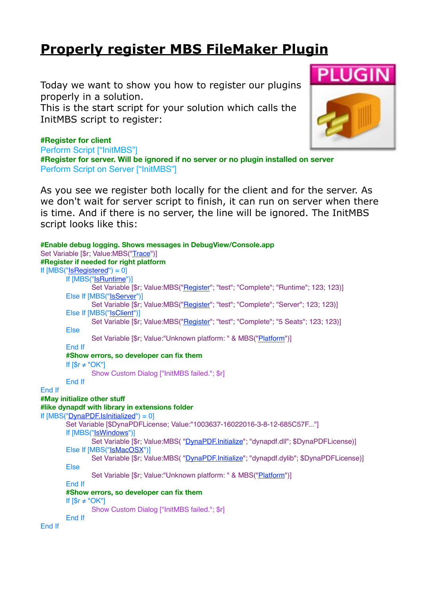## **[Properly register MBS FileMaker Plugin](http://www.mbs-plugins.com/archive/2016-09-15/Properly_register_MBS_FileMake/monkeybreadsoftware_blog_filemaker)**

Today we want to show you how to register our plugins properly in a solution.

This is the start script for your solution which calls the InitMBS script to register:



## **#Register for client**

Perform Script ["InitMBS"] **#Register for server. Will be ignored if no server or no plugin installed on server** Perform Script on Server ["InitMBS"]

As you see we register both locally for the client and for the server. As we don't wait for server script to finish, it can run on server when there is time. And if there is no server, the line will be ignored. The InitMBS script looks like this:

```
#Enable debug logging. Shows messages in DebugView/Console.app
Trace")]
#Register if needed for right platform
If [MBS("IsRegistered") = 0]
      If [MBS("IsRuntime")]
             Set Variable [$r; Value:MBS("Register"; "test"; "Complete"; "Runtime"; 123; 123)]
      Else If [MBS("IsServer")]
             Register"; "test"; "Complete"; "Server"; 123; 123)]
      Else If [MBS("IsClient")]
             Register"; "test"; "Complete"; "5 Seats"; 123; 123)]
      Else
             Set Variable [$r; Value:"Unknown platform: " & MBS("Platform")]
      End If
      #Show errors, so developer can fix them
      If [$r ≠ "OK"]
             Show Custom Dialog ["InitMBS failed."; $r]
      End If
End If
#May initialize other stuff
#like dynapdf with library in extensions folder
If [MBS("DynaPDF.IsInitialized") = 0]
      Set Variable [$DynaPDFLicense; Value:"1003637-16022016-3-8-12-685C57F..."]
      If [MBS("IsWindows")]
             "DynaPDF.Initialize"; "dynapdf.dll"; $DynaPDFLicense)]
      Else If [MBS("IsMacOSX")]
             "DynaPDF.Initialize"; "dynapdf.dylib"; $DynaPDFLicense)]
      Else
             "Platform")]
      End If
      #Show errors, so developer can fix them
      If [sr \neq "OK"]Show Custom Dialog ["InitMBS failed."; $r]
      End If
End If
```